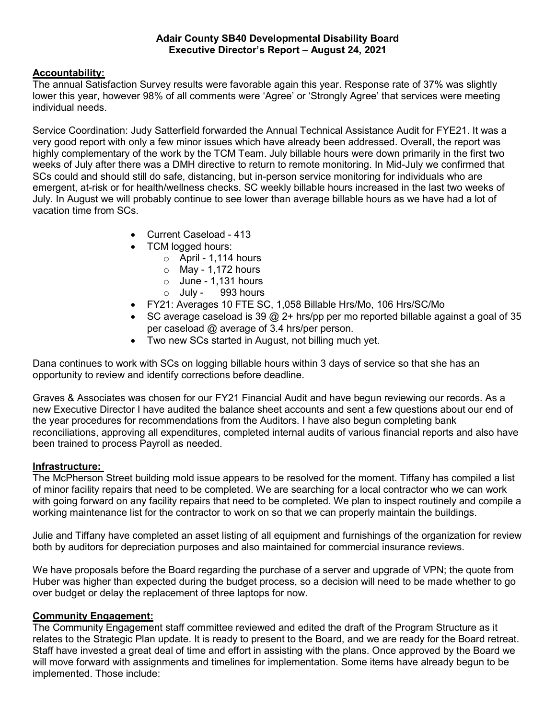### Adair County SB40 Developmental Disability Board Executive Director's Report – August 24, 2021

# Accountability:

The annual Satisfaction Survey results were favorable again this year. Response rate of 37% was slightly lower this year, however 98% of all comments were 'Agree' or 'Strongly Agree' that services were meeting individual needs.

Service Coordination: Judy Satterfield forwarded the Annual Technical Assistance Audit for FYE21. It was a very good report with only a few minor issues which have already been addressed. Overall, the report was highly complementary of the work by the TCM Team. July billable hours were down primarily in the first two weeks of July after there was a DMH directive to return to remote monitoring. In Mid-July we confirmed that SCs could and should still do safe, distancing, but in-person service monitoring for individuals who are emergent, at-risk or for health/wellness checks. SC weekly billable hours increased in the last two weeks of July. In August we will probably continue to see lower than average billable hours as we have had a lot of vacation time from SCs.

- Current Caseload 413
- TCM logged hours:
	- $\circ$  April 1,114 hours
	- $\circ$  May 1,172 hours
	- $\circ$  June 1.131 hours
	- $\circ$  July 993 hours
- FY21: Averages 10 FTE SC, 1,058 Billable Hrs/Mo, 106 Hrs/SC/Mo
- SC average caseload is 39  $@$  2+ hrs/pp per mo reported billable against a goal of 35 per caseload @ average of 3.4 hrs/per person.
- Two new SCs started in August, not billing much yet.

Dana continues to work with SCs on logging billable hours within 3 days of service so that she has an opportunity to review and identify corrections before deadline.

Graves & Associates was chosen for our FY21 Financial Audit and have begun reviewing our records. As a new Executive Director I have audited the balance sheet accounts and sent a few questions about our end of the year procedures for recommendations from the Auditors. I have also begun completing bank reconciliations, approving all expenditures, completed internal audits of various financial reports and also have been trained to process Payroll as needed.

#### Infrastructure:

The McPherson Street building mold issue appears to be resolved for the moment. Tiffany has compiled a list of minor facility repairs that need to be completed. We are searching for a local contractor who we can work with going forward on any facility repairs that need to be completed. We plan to inspect routinely and compile a working maintenance list for the contractor to work on so that we can properly maintain the buildings.

Julie and Tiffany have completed an asset listing of all equipment and furnishings of the organization for review both by auditors for depreciation purposes and also maintained for commercial insurance reviews.

We have proposals before the Board regarding the purchase of a server and upgrade of VPN; the quote from Huber was higher than expected during the budget process, so a decision will need to be made whether to go over budget or delay the replacement of three laptops for now.

# Community Engagement:

The Community Engagement staff committee reviewed and edited the draft of the Program Structure as it relates to the Strategic Plan update. It is ready to present to the Board, and we are ready for the Board retreat. Staff have invested a great deal of time and effort in assisting with the plans. Once approved by the Board we will move forward with assignments and timelines for implementation. Some items have already begun to be implemented. Those include: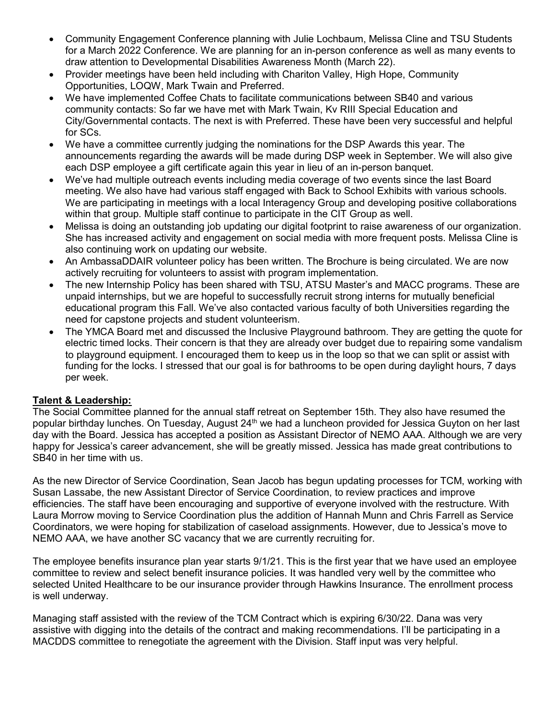- Community Engagement Conference planning with Julie Lochbaum, Melissa Cline and TSU Students for a March 2022 Conference. We are planning for an in-person conference as well as many events to draw attention to Developmental Disabilities Awareness Month (March 22).
- Provider meetings have been held including with Chariton Valley, High Hope, Community Opportunities, LOQW, Mark Twain and Preferred.
- We have implemented Coffee Chats to facilitate communications between SB40 and various community contacts: So far we have met with Mark Twain, Kv RIII Special Education and City/Governmental contacts. The next is with Preferred. These have been very successful and helpful for SCs.
- We have a committee currently judging the nominations for the DSP Awards this year. The announcements regarding the awards will be made during DSP week in September. We will also give each DSP employee a gift certificate again this year in lieu of an in-person banquet.
- We've had multiple outreach events including media coverage of two events since the last Board meeting. We also have had various staff engaged with Back to School Exhibits with various schools. We are participating in meetings with a local Interagency Group and developing positive collaborations within that group. Multiple staff continue to participate in the CIT Group as well.
- Melissa is doing an outstanding job updating our digital footprint to raise awareness of our organization. She has increased activity and engagement on social media with more frequent posts. Melissa Cline is also continuing work on updating our website.
- An AmbassaDDAIR volunteer policy has been written. The Brochure is being circulated. We are now actively recruiting for volunteers to assist with program implementation.
- The new Internship Policy has been shared with TSU, ATSU Master's and MACC programs. These are unpaid internships, but we are hopeful to successfully recruit strong interns for mutually beneficial educational program this Fall. We've also contacted various faculty of both Universities regarding the need for capstone projects and student volunteerism.
- The YMCA Board met and discussed the Inclusive Playground bathroom. They are getting the quote for electric timed locks. Their concern is that they are already over budget due to repairing some vandalism to playground equipment. I encouraged them to keep us in the loop so that we can split or assist with funding for the locks. I stressed that our goal is for bathrooms to be open during daylight hours, 7 days per week.

# Talent & Leadership:

The Social Committee planned for the annual staff retreat on September 15th. They also have resumed the popular birthday lunches. On Tuesday, August 24<sup>th</sup> we had a luncheon provided for Jessica Guyton on her last day with the Board. Jessica has accepted a position as Assistant Director of NEMO AAA. Although we are very happy for Jessica's career advancement, she will be greatly missed. Jessica has made great contributions to SB40 in her time with us.

As the new Director of Service Coordination, Sean Jacob has begun updating processes for TCM, working with Susan Lassabe, the new Assistant Director of Service Coordination, to review practices and improve efficiencies. The staff have been encouraging and supportive of everyone involved with the restructure. With Laura Morrow moving to Service Coordination plus the addition of Hannah Munn and Chris Farrell as Service Coordinators, we were hoping for stabilization of caseload assignments. However, due to Jessica's move to NEMO AAA, we have another SC vacancy that we are currently recruiting for.

The employee benefits insurance plan year starts 9/1/21. This is the first year that we have used an employee committee to review and select benefit insurance policies. It was handled very well by the committee who selected United Healthcare to be our insurance provider through Hawkins Insurance. The enrollment process is well underway.

Managing staff assisted with the review of the TCM Contract which is expiring 6/30/22. Dana was very assistive with digging into the details of the contract and making recommendations. I'll be participating in a MACDDS committee to renegotiate the agreement with the Division. Staff input was very helpful.